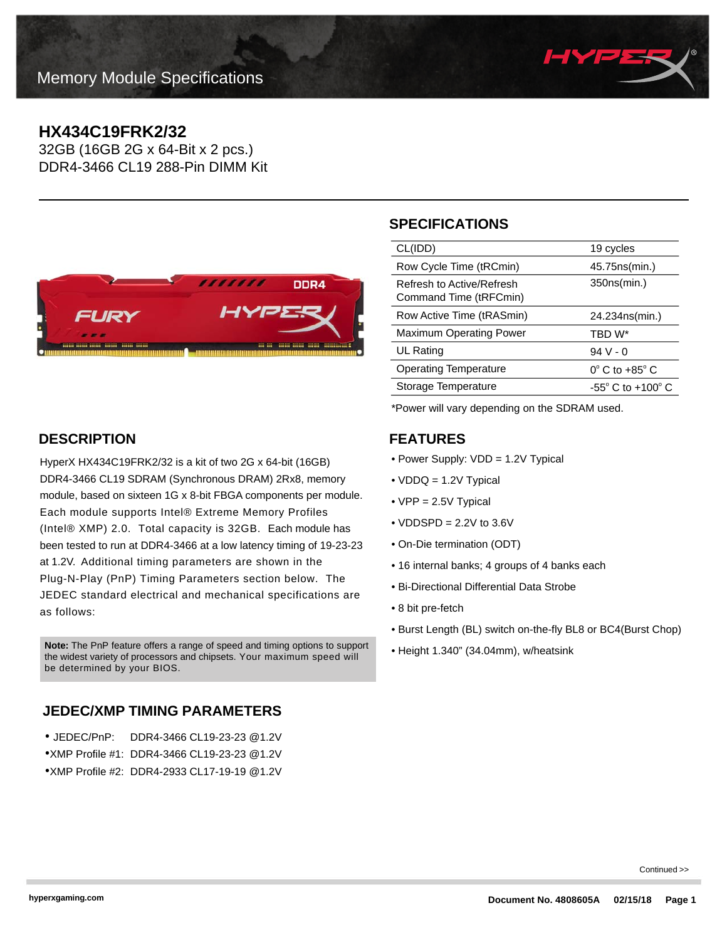

# **HX434C19FRK2/32**

32GB (16GB 2G x 64-Bit x 2 pcs.) DDR4-3466 CL19 288-Pin DIMM Kit



# **SPECIFICATIONS**

| CL(IDD)                                             | 19 cycles                         |
|-----------------------------------------------------|-----------------------------------|
| Row Cycle Time (tRCmin)                             | 45.75 ns (min.)                   |
| Refresh to Active/Refresh<br>Command Time (tRFCmin) | 350ns(min.)                       |
| Row Active Time (tRASmin)                           | 24.234ns(min.)                    |
| <b>Maximum Operating Power</b>                      | TBD W*                            |
| UL Rating                                           | $94V - 0$                         |
| <b>Operating Temperature</b>                        | $0^{\circ}$ C to +85 $^{\circ}$ C |
| Storage Temperature                                 | $-55^\circ$ C to $+100^\circ$ C   |
|                                                     |                                   |

\*Power will vary depending on the SDRAM used.

#### **FEATURES**

- Power Supply: VDD = 1.2V Typical
- VDDQ = 1.2V Typical
- VPP = 2.5V Typical
- $\bullet$  VDDSPD = 2.2V to 3.6V
- On-Die termination (ODT)
- 16 internal banks; 4 groups of 4 banks each
- Bi-Directional Differential Data Strobe
- 8 bit pre-fetch
- Burst Length (BL) switch on-the-fly BL8 or BC4(Burst Chop)
- 

### **DESCRIPTION**

HyperX HX434C19FRK2/32 is a kit of two 2G x 64-bit (16GB) DDR4-3466 CL19 SDRAM (Synchronous DRAM) 2Rx8, memory module, based on sixteen 1G x 8-bit FBGA components per module. Each module supports Intel® Extreme Memory Profiles (Intel® XMP) 2.0. Total capacity is 32GB. Each module has been tested to run at DDR4-3466 at a low latency timing of 19-23-23 at 1.2V. Additional timing parameters are shown in the Plug-N-Play (PnP) Timing Parameters section below. The JEDEC standard electrical and mechanical specifications are as follows:

• Height 1.340" (34.04mm), w/heatsink **Note:** The PnP feature offers a range of speed and timing options to support the widest variety of processors and chipsets. Your maximum speed will be determined by your BIOS.

## **JEDEC/XMP TIMING PARAMETERS**

| ● JEDEC/PnP: | DDR4-3466 CL19-23-23 @1.2V                  |
|--------------|---------------------------------------------|
|              | ●XMP Profile #1: DDR4-3466 CL19-23-23 @1.2V |
|              | ●XMP Profile #2: DDR4-2933 CL17-19-19 @1.2V |

Continued >>